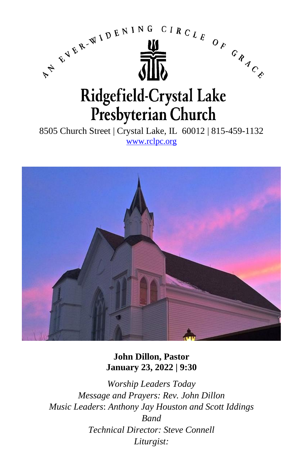

8505 Church Street | Crystal Lake, IL 60012 | 815-459-1132 [www.rclpc.org](http://www.rclpc.org/)



**John Dillon, Pastor January 23, 2022 | 9:30**

*Worship Leaders Today Message and Prayers: Rev. John Dillon Music Leaders*: *Anthony Jay Houston and Scott Iddings Band Technical Director: Steve Connell Liturgist:*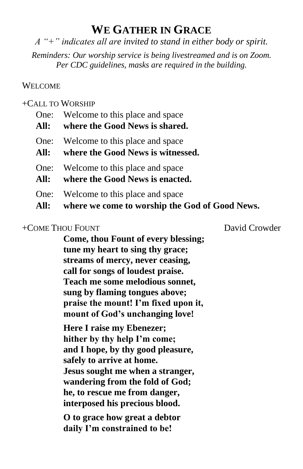# **WE GATHER IN GRACE**

*A "+" indicates all are invited to stand in either body or spirit.*

*Reminders: Our worship service is being livestreamed and is on Zoom. Per CDC guidelines, masks are required in the building.*

## WELCOME

## +CALL TO WORSHIP

| All: | One: Welcome to this place and space<br>where the Good News is shared.                 |
|------|----------------------------------------------------------------------------------------|
| One: | Welcome to this place and space                                                        |
| All: | where the Good News is witnessed.                                                      |
| One: | Welcome to this place and space                                                        |
| All: | where the Good News is enacted.                                                        |
| One: | Welcome to this place and space<br>All: where we come to worship the God of Good News. |

## +COME THOU FOUNT David Crowder

**Come, thou Fount of every blessing; tune my heart to sing thy grace; streams of mercy, never ceasing, call for songs of loudest praise. Teach me some melodious sonnet, sung by flaming tongues above; praise the mount! I'm fixed upon it, mount of God's unchanging love!**

**Here I raise my Ebenezer; hither by thy help I'm come; and I hope, by thy good pleasure, safely to arrive at home. Jesus sought me when a stranger, wandering from the fold of God; he, to rescue me from danger, interposed his precious blood.**

**O to grace how great a debtor daily I'm constrained to be!**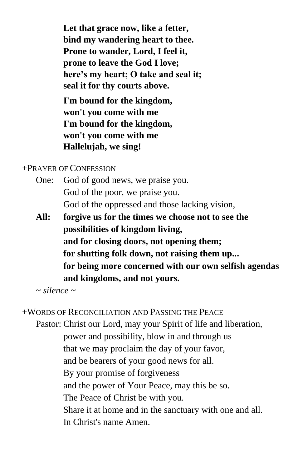**Let that grace now, like a fetter, bind my wandering heart to thee. Prone to wander, Lord, I feel it, prone to leave the God I love; here's my heart; O take and seal it; seal it for thy courts above.**

**I'm bound for the kingdom, won't you come with me I'm bound for the kingdom, won't you come with me Hallelujah, we sing!**

## +PRAYER OF CONFESSION

- One: God of good news, we praise you. God of the poor, we praise you. God of the oppressed and those lacking vision,
- **All: forgive us for the times we choose not to see the possibilities of kingdom living, and for closing doors, not opening them; for shutting folk down, not raising them up... for being more concerned with our own selfish agendas and kingdoms, and not yours.**

*~ silence ~*

+WORDS OF RECONCILIATION AND PASSING THE PEACE

Pastor: Christ our Lord, may your Spirit of life and liberation, power and possibility, blow in and through us that we may proclaim the day of your favor, and be bearers of your good news for all. By your promise of forgiveness and the power of Your Peace, may this be so. The Peace of Christ be with you. Share it at home and in the sanctuary with one and all. In Christ's name Amen.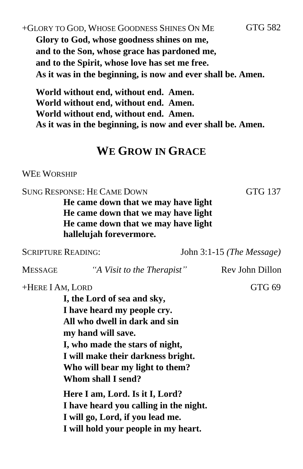## +GLORY TO GOD, WHOSE GOODNESS SHINES ON ME GTG 582 **Glory to God, whose goodness shines on me, and to the Son, whose grace has pardoned me, and to the Spirit, whose love has set me free. As it was in the beginning, is now and ever shall be. Amen.**

**World without end, without end. Amen. World without end, without end. Amen. World without end, without end. Amen. As it was in the beginning, is now and ever shall be. Amen.**

## **WE GROW IN GRACE**

#### WEE WORSHIP

SUNG RESPONSE: HE CAME DOWN GTG 137 **He came down that we may have light He came down that we may have light He came down that we may have light hallelujah forevermore.**

SCRIPTURE READING: John 3:1-15 *(The Message)* MESSAGE *"A Visit to the Therapist"* Rev John Dillon +HERE I AM, LORD GTG 69 **I, the Lord of sea and sky, I have heard my people cry. All who dwell in dark and sin my hand will save. I, who made the stars of night, I will make their darkness bright. Who will bear my light to them? Whom shall I send? Here I am, Lord. Is it I, Lord? I have heard you calling in the night. I will go, Lord, if you lead me. I will hold your people in my heart.**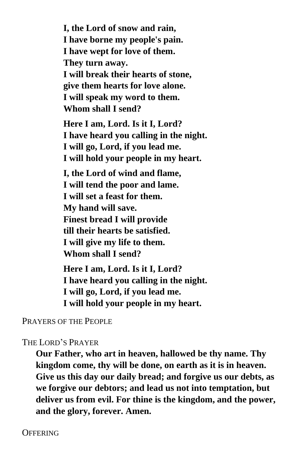**I, the Lord of snow and rain, I have borne my people's pain. I have wept for love of them. They turn away. I will break their hearts of stone, give them hearts for love alone. I will speak my word to them. Whom shall I send?** 

**Here I am, Lord. Is it I, Lord? I have heard you calling in the night. I will go, Lord, if you lead me. I will hold your people in my heart.**

**I, the Lord of wind and flame, I will tend the poor and lame. I will set a feast for them. My hand will save. Finest bread I will provide till their hearts be satisfied. I will give my life to them. Whom shall I send?** 

**Here I am, Lord. Is it I, Lord? I have heard you calling in the night. I will go, Lord, if you lead me. I will hold your people in my heart.**

PRAYERS OF THE PEOPLE

## THE LORD'S PRAYER

**Our Father, who art in heaven, hallowed be thy name. Thy kingdom come, thy will be done, on earth as it is in heaven. Give us this day our daily bread; and forgive us our debts, as we forgive our debtors; and lead us not into temptation, but deliver us from evil. For thine is the kingdom, and the power, and the glory, forever. Amen.**

**OFFERING**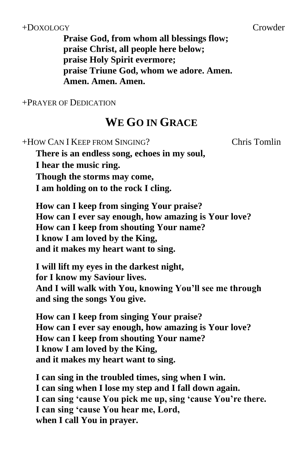## +DOXOLOGY Crowder

+PRAYER OF DEDICATION

# **WE GO IN GRACE**

| +HOW CAN I KEEP FROM SINGING?                           | <b>Chris Tomlin</b> |
|---------------------------------------------------------|---------------------|
| There is an endless song, echoes in my soul,            |                     |
| I hear the music ring.                                  |                     |
| Though the storms may come,                             |                     |
| I am holding on to the rock I cling.                    |                     |
| How can I keep from singing Your praise?                |                     |
| How can I ever say enough, how amazing is Your love?    |                     |
| How can I keep from shouting Your name?                 |                     |
| I know I am loved by the King,                          |                     |
| and it makes my heart want to sing.                     |                     |
| I will lift my eyes in the darkest night,               |                     |
| for I know my Saviour lives.                            |                     |
| And I will walk with You, knowing You'll see me through |                     |
| and sing the songs You give.                            |                     |
|                                                         |                     |

**How can I keep from singing Your praise? How can I ever say enough, how amazing is Your love? How can I keep from shouting Your name? I know I am loved by the King, and it makes my heart want to sing.**

**I can sing in the troubled times, sing when I win. I can sing when I lose my step and I fall down again. I can sing 'cause You pick me up, sing 'cause You're there. I can sing 'cause You hear me, Lord, when I call You in prayer.**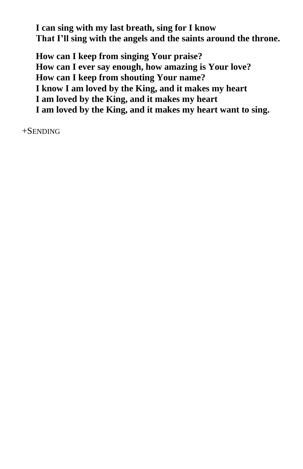**I can sing with my last breath, sing for I know That I'll sing with the angels and the saints around the throne.**

**How can I keep from singing Your praise? How can I ever say enough, how amazing is Your love? How can I keep from shouting Your name? I know I am loved by the King, and it makes my heart I am loved by the King, and it makes my heart I am loved by the King, and it makes my heart want to sing.**

+SENDING